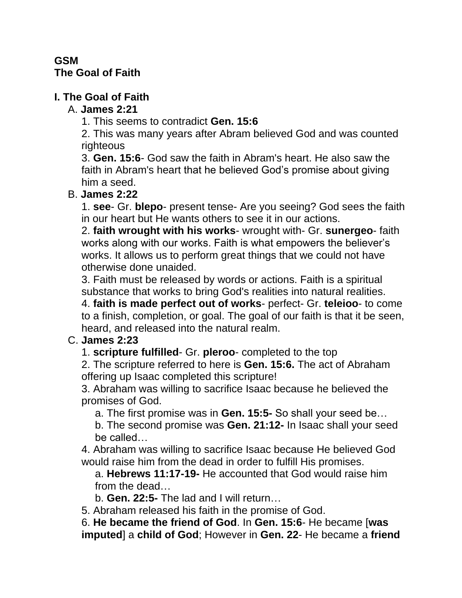#### **GSM The Goal of Faith**

## **I. The Goal of Faith**

## A. **James 2:21**

1. This seems to contradict **Gen. 15:6**

2. This was many years after Abram believed God and was counted righteous

3. **Gen. 15:6**- God saw the faith in Abram's heart. He also saw the faith in Abram's heart that he believed God's promise about giving him a seed.

## B. **James 2:22**

1. **see**- Gr. **blepo**- present tense- Are you seeing? God sees the faith in our heart but He wants others to see it in our actions.

2. **faith wrought with his works**- wrought with- Gr. **sunergeo**- faith works along with our works. Faith is what empowers the believer's works. It allows us to perform great things that we could not have otherwise done unaided.

3. Faith must be released by words or actions. Faith is a spiritual substance that works to bring God's realities into natural realities.

4. **faith is made perfect out of works**- perfect- Gr. **teleioo**- to come to a finish, completion, or goal. The goal of our faith is that it be seen, heard, and released into the natural realm.

# C. **James 2:23**

1. **scripture fulfilled**- Gr. **pleroo**- completed to the top

2. The scripture referred to here is **Gen. 15:6.** The act of Abraham offering up Isaac completed this scripture!

3. Abraham was willing to sacrifice Isaac because he believed the promises of God.

a. The first promise was in **Gen. 15:5-** So shall your seed be…

b. The second promise was **Gen. 21:12-** In Isaac shall your seed be called…

4. Abraham was willing to sacrifice Isaac because He believed God would raise him from the dead in order to fulfill His promises.

a. **Hebrews 11:17-19-** He accounted that God would raise him from the dead…

b. **Gen. 22:5-** The lad and I will return…

5. Abraham released his faith in the promise of God.

6. **He became the friend of God**. In **Gen. 15:6**- He became [**was imputed**] a **child of God**; However in **Gen. 22**- He became a **friend**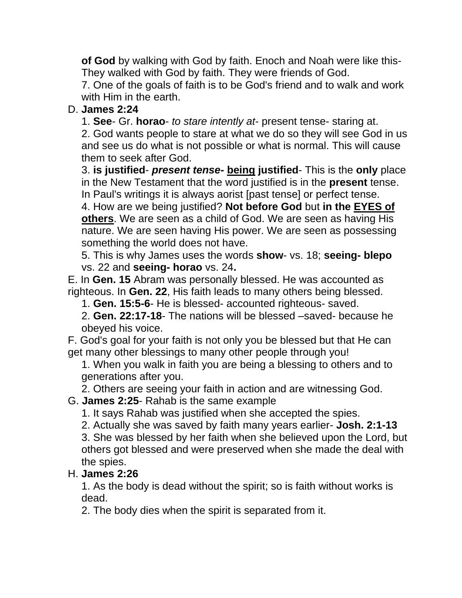**of God** by walking with God by faith. Enoch and Noah were like this-They walked with God by faith. They were friends of God.

7. One of the goals of faith is to be God's friend and to walk and work with Him in the earth.

## D. **James 2:24**

1. **See**- Gr. **horao**- *to stare intently at*- present tense- staring at.

2. God wants people to stare at what we do so they will see God in us and see us do what is not possible or what is normal. This will cause them to seek after God.

3. **is justified**- *present tense***- being justified**- This is the **only** place in the New Testament that the word justified is in the **present** tense. In Paul's writings it is always aorist [past tense] or perfect tense.

4. How are we being justified? **Not before God** but **in the EYES of others**. We are seen as a child of God. We are seen as having His nature. We are seen having His power. We are seen as possessing something the world does not have.

5. This is why James uses the words **show**- vs. 18; **seeing- blepo** vs. 22 and **seeing- horao** vs. 24**.** 

E. In **Gen. 15** Abram was personally blessed. He was accounted as righteous. In **Gen. 22**, His faith leads to many others being blessed.

1. **Gen. 15:5-6**- He is blessed- accounted righteous- saved.

2. **Gen. 22:17-18**- The nations will be blessed –saved- because he obeyed his voice.

F. God's goal for your faith is not only you be blessed but that He can get many other blessings to many other people through you!

1. When you walk in faith you are being a blessing to others and to generations after you.

2. Others are seeing your faith in action and are witnessing God.

#### G. **James 2:25**- Rahab is the same example

1. It says Rahab was justified when she accepted the spies.

2. Actually she was saved by faith many years earlier- **Josh. 2:1-13**

3. She was blessed by her faith when she believed upon the Lord, but others got blessed and were preserved when she made the deal with the spies.

## H. **James 2:26**

1. As the body is dead without the spirit; so is faith without works is dead.

2. The body dies when the spirit is separated from it.